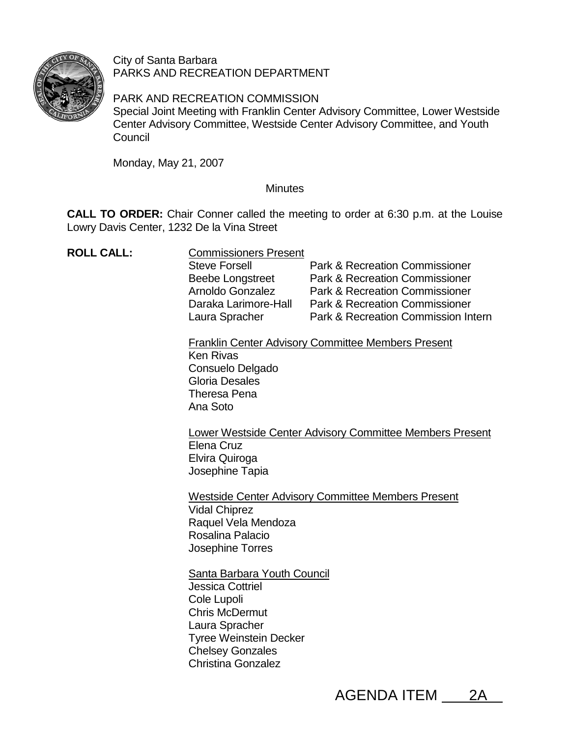

City of Santa Barbara PARKS AND RECREATION DEPARTMENT

PARK AND RECREATION COMMISSION Special Joint Meeting with Franklin Center Advisory Committee, Lower Westside Center Advisory Committee, Westside Center Advisory Committee, and Youth **Council** 

Monday, May 21, 2007

## **Minutes**

**CALL TO ORDER:** Chair Conner called the meeting to order at 6:30 p.m. at the Louise Lowry Davis Center, 1232 De la Vina Street

| <b>ROLL CALL:</b> | <b>Commissioners Present</b><br><b>Steve Forsell</b><br><b>Beebe Longstreet</b><br>Arnoldo Gonzalez<br>Daraka Larimore-Hall<br>Laura Spracher                                                             | <b>Park &amp; Recreation Commissioner</b><br><b>Park &amp; Recreation Commissioner</b><br><b>Park &amp; Recreation Commissioner</b><br><b>Park &amp; Recreation Commissioner</b><br>Park & Recreation Commission Intern |  |
|-------------------|-----------------------------------------------------------------------------------------------------------------------------------------------------------------------------------------------------------|-------------------------------------------------------------------------------------------------------------------------------------------------------------------------------------------------------------------------|--|
|                   | <b>Franklin Center Advisory Committee Members Present</b><br><b>Ken Rivas</b><br>Consuelo Delgado<br><b>Gloria Desales</b><br>Theresa Pena<br>Ana Soto                                                    |                                                                                                                                                                                                                         |  |
|                   | Lower Westside Center Advisory Committee Members Present<br>Elena Cruz<br>Elvira Quiroga<br>Josephine Tapia                                                                                               |                                                                                                                                                                                                                         |  |
|                   | <b>Westside Center Advisory Committee Members Present</b><br><b>Vidal Chiprez</b><br>Raquel Vela Mendoza<br>Rosalina Palacio<br>Josephine Torres                                                          |                                                                                                                                                                                                                         |  |
|                   | <b>Santa Barbara Youth Council</b><br>Jessica Cottriel<br>Cole Lupoli<br><b>Chris McDermut</b><br>Laura Spracher<br><b>Tyree Weinstein Decker</b><br><b>Chelsey Gonzales</b><br><b>Christina Gonzalez</b> |                                                                                                                                                                                                                         |  |

AGENDA ITEM 2A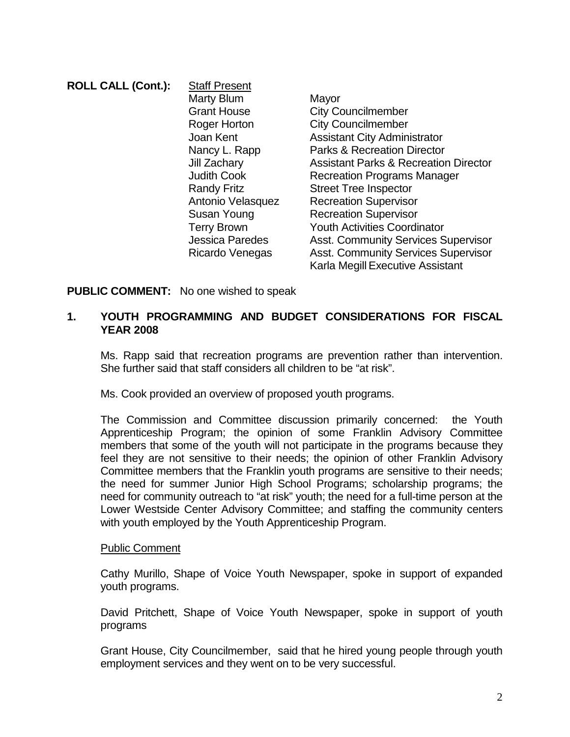| <b>ROLL CALL (Cont.):</b> | <b>Staff Present</b>   |                                                  |
|---------------------------|------------------------|--------------------------------------------------|
|                           | Marty Blum             | Mayor                                            |
|                           | <b>Grant House</b>     | <b>City Councilmember</b>                        |
|                           | Roger Horton           | <b>City Councilmember</b>                        |
|                           | Joan Kent              | <b>Assistant City Administrator</b>              |
|                           | Nancy L. Rapp          | <b>Parks &amp; Recreation Director</b>           |
|                           | Jill Zachary           | <b>Assistant Parks &amp; Recreation Director</b> |
|                           | <b>Judith Cook</b>     | <b>Recreation Programs Manager</b>               |
|                           | <b>Randy Fritz</b>     | <b>Street Tree Inspector</b>                     |
|                           | Antonio Velasquez      | <b>Recreation Supervisor</b>                     |
|                           | Susan Young            | <b>Recreation Supervisor</b>                     |
|                           | <b>Terry Brown</b>     | <b>Youth Activities Coordinator</b>              |
|                           | <b>Jessica Paredes</b> | <b>Asst. Community Services Supervisor</b>       |
|                           | Ricardo Venegas        | <b>Asst. Community Services Supervisor</b>       |
|                           |                        | Karla Megill Executive Assistant                 |
|                           |                        |                                                  |

**PUBLIC COMMENT:** No one wished to speak

## **1. YOUTH PROGRAMMING AND BUDGET CONSIDERATIONS FOR FISCAL YEAR 2008**

Ms. Rapp said that recreation programs are prevention rather than intervention. She further said that staff considers all children to be "at risk".

Ms. Cook provided an overview of proposed youth programs.

The Commission and Committee discussion primarily concerned: the Youth Apprenticeship Program; the opinion of some Franklin Advisory Committee members that some of the youth will not participate in the programs because they feel they are not sensitive to their needs; the opinion of other Franklin Advisory Committee members that the Franklin youth programs are sensitive to their needs; the need for summer Junior High School Programs; scholarship programs; the need for community outreach to "at risk" youth; the need for a full-time person at the Lower Westside Center Advisory Committee; and staffing the community centers with youth employed by the Youth Apprenticeship Program.

#### Public Comment

Cathy Murillo, Shape of Voice Youth Newspaper, spoke in support of expanded youth programs.

David Pritchett, Shape of Voice Youth Newspaper, spoke in support of youth programs

Grant House, City Councilmember, said that he hired young people through youth employment services and they went on to be very successful.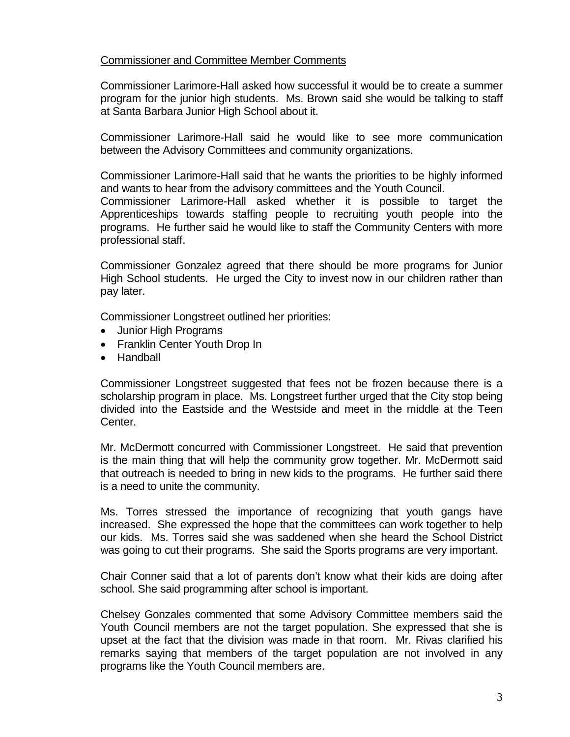## Commissioner and Committee Member Comments

Commissioner Larimore-Hall asked how successful it would be to create a summer program for the junior high students. Ms. Brown said she would be talking to staff at Santa Barbara Junior High School about it.

Commissioner Larimore-Hall said he would like to see more communication between the Advisory Committees and community organizations.

Commissioner Larimore-Hall said that he wants the priorities to be highly informed and wants to hear from the advisory committees and the Youth Council.

Commissioner Larimore-Hall asked whether it is possible to target the Apprenticeships towards staffing people to recruiting youth people into the programs. He further said he would like to staff the Community Centers with more professional staff.

Commissioner Gonzalez agreed that there should be more programs for Junior High School students. He urged the City to invest now in our children rather than pay later.

Commissioner Longstreet outlined her priorities:

- Junior High Programs
- Franklin Center Youth Drop In
- Handball

Commissioner Longstreet suggested that fees not be frozen because there is a scholarship program in place. Ms. Longstreet further urged that the City stop being divided into the Eastside and the Westside and meet in the middle at the Teen Center.

Mr. McDermott concurred with Commissioner Longstreet. He said that prevention is the main thing that will help the community grow together. Mr. McDermott said that outreach is needed to bring in new kids to the programs. He further said there is a need to unite the community.

Ms. Torres stressed the importance of recognizing that youth gangs have increased. She expressed the hope that the committees can work together to help our kids. Ms. Torres said she was saddened when she heard the School District was going to cut their programs. She said the Sports programs are very important.

Chair Conner said that a lot of parents don't know what their kids are doing after school. She said programming after school is important.

Chelsey Gonzales commented that some Advisory Committee members said the Youth Council members are not the target population. She expressed that she is upset at the fact that the division was made in that room. Mr. Rivas clarified his remarks saying that members of the target population are not involved in any programs like the Youth Council members are.